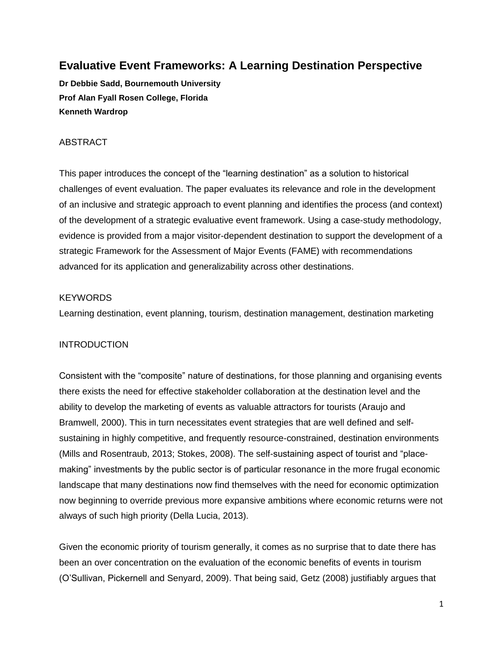# **Evaluative Event Frameworks: A Learning Destination Perspective**

**Dr Debbie Sadd, Bournemouth University Prof Alan Fyall Rosen College, Florida Kenneth Wardrop**

# ABSTRACT

This paper introduces the concept of the "learning destination" as a solution to historical challenges of event evaluation. The paper evaluates its relevance and role in the development of an inclusive and strategic approach to event planning and identifies the process (and context) of the development of a strategic evaluative event framework. Using a case-study methodology, evidence is provided from a major visitor-dependent destination to support the development of a strategic Framework for the Assessment of Major Events (FAME) with recommendations advanced for its application and generalizability across other destinations.

# **KEYWORDS**

Learning destination, event planning, tourism, destination management, destination marketing

# INTRODUCTION

Consistent with the "composite" nature of destinations, for those planning and organising events there exists the need for effective stakeholder collaboration at the destination level and the ability to develop the marketing of events as valuable attractors for tourists (Araujo and Bramwell, 2000). This in turn necessitates event strategies that are well defined and selfsustaining in highly competitive, and frequently resource-constrained, destination environments (Mills and Rosentraub, 2013; Stokes, 2008). The self-sustaining aspect of tourist and "placemaking" investments by the public sector is of particular resonance in the more frugal economic landscape that many destinations now find themselves with the need for economic optimization now beginning to override previous more expansive ambitions where economic returns were not always of such high priority (Della Lucia, 2013).

Given the economic priority of tourism generally, it comes as no surprise that to date there has been an over concentration on the evaluation of the economic benefits of events in tourism (O'Sullivan, Pickernell and Senyard, 2009). That being said, Getz (2008) justifiably argues that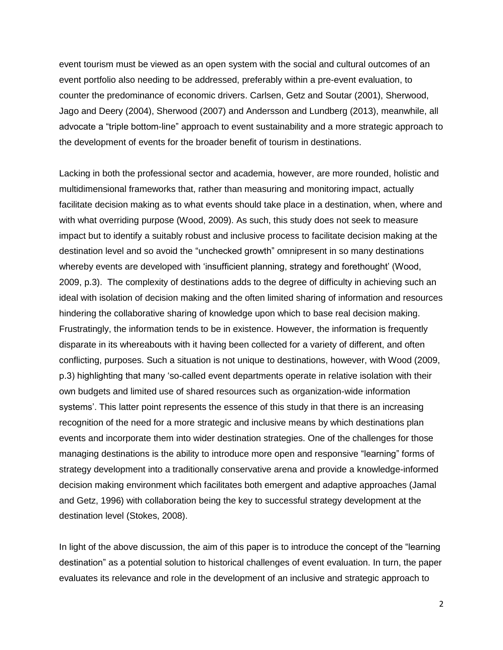event tourism must be viewed as an open system with the social and cultural outcomes of an event portfolio also needing to be addressed, preferably within a pre-event evaluation, to counter the predominance of economic drivers. Carlsen, Getz and Soutar (2001), Sherwood, Jago and Deery (2004), Sherwood (2007) and Andersson and Lundberg (2013), meanwhile, all advocate a "triple bottom-line" approach to event sustainability and a more strategic approach to the development of events for the broader benefit of tourism in destinations.

Lacking in both the professional sector and academia, however, are more rounded, holistic and multidimensional frameworks that, rather than measuring and monitoring impact, actually facilitate decision making as to what events should take place in a destination, when, where and with what overriding purpose (Wood, 2009). As such, this study does not seek to measure impact but to identify a suitably robust and inclusive process to facilitate decision making at the destination level and so avoid the "unchecked growth" omnipresent in so many destinations whereby events are developed with 'insufficient planning, strategy and forethought' (Wood, 2009, p.3). The complexity of destinations adds to the degree of difficulty in achieving such an ideal with isolation of decision making and the often limited sharing of information and resources hindering the collaborative sharing of knowledge upon which to base real decision making. Frustratingly, the information tends to be in existence. However, the information is frequently disparate in its whereabouts with it having been collected for a variety of different, and often conflicting, purposes. Such a situation is not unique to destinations, however, with Wood (2009, p.3) highlighting that many 'so-called event departments operate in relative isolation with their own budgets and limited use of shared resources such as organization-wide information systems'. This latter point represents the essence of this study in that there is an increasing recognition of the need for a more strategic and inclusive means by which destinations plan events and incorporate them into wider destination strategies. One of the challenges for those managing destinations is the ability to introduce more open and responsive "learning" forms of strategy development into a traditionally conservative arena and provide a knowledge-informed decision making environment which facilitates both emergent and adaptive approaches (Jamal and Getz, 1996) with collaboration being the key to successful strategy development at the destination level (Stokes, 2008).

In light of the above discussion, the aim of this paper is to introduce the concept of the "learning destination" as a potential solution to historical challenges of event evaluation. In turn, the paper evaluates its relevance and role in the development of an inclusive and strategic approach to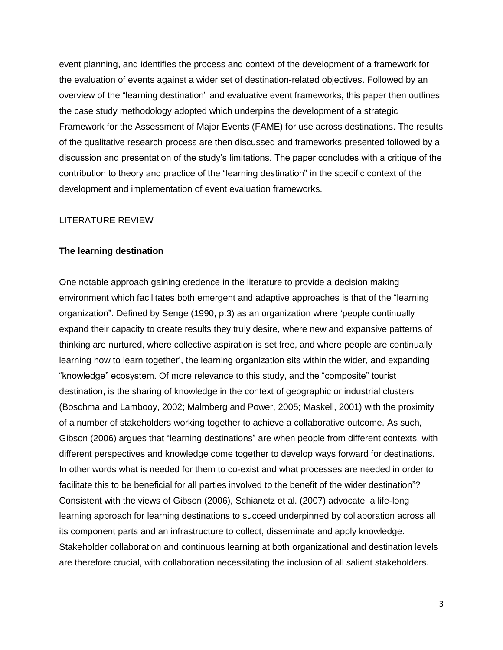event planning, and identifies the process and context of the development of a framework for the evaluation of events against a wider set of destination-related objectives. Followed by an overview of the "learning destination" and evaluative event frameworks, this paper then outlines the case study methodology adopted which underpins the development of a strategic Framework for the Assessment of Major Events (FAME) for use across destinations. The results of the qualitative research process are then discussed and frameworks presented followed by a discussion and presentation of the study's limitations. The paper concludes with a critique of the contribution to theory and practice of the "learning destination" in the specific context of the development and implementation of event evaluation frameworks.

#### LITERATURE REVIEW

#### **The learning destination**

One notable approach gaining credence in the literature to provide a decision making environment which facilitates both emergent and adaptive approaches is that of the "learning organization". Defined by Senge (1990, p.3) as an organization where 'people continually expand their capacity to create results they truly desire, where new and expansive patterns of thinking are nurtured, where collective aspiration is set free, and where people are continually learning how to learn together', the learning organization sits within the wider, and expanding "knowledge" ecosystem. Of more relevance to this study, and the "composite" tourist destination, is the sharing of knowledge in the context of geographic or industrial clusters (Boschma and Lambooy, 2002; Malmberg and Power, 2005; Maskell, 2001) with the proximity of a number of stakeholders working together to achieve a collaborative outcome. As such, Gibson (2006) argues that "learning destinations" are when people from different contexts, with different perspectives and knowledge come together to develop ways forward for destinations. In other words what is needed for them to co-exist and what processes are needed in order to facilitate this to be beneficial for all parties involved to the benefit of the wider destination"? Consistent with the views of Gibson (2006), Schianetz et al. (2007) advocate a life-long learning approach for learning destinations to succeed underpinned by collaboration across all its component parts and an infrastructure to collect, disseminate and apply knowledge. Stakeholder collaboration and continuous learning at both organizational and destination levels are therefore crucial, with collaboration necessitating the inclusion of all salient stakeholders.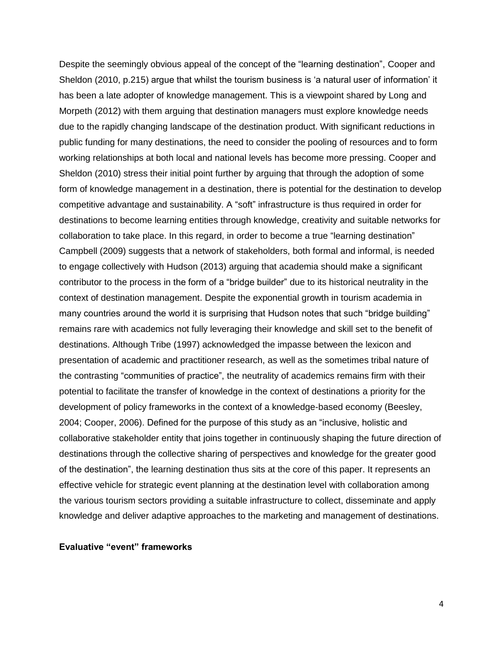Despite the seemingly obvious appeal of the concept of the "learning destination", Cooper and Sheldon (2010, p.215) argue that whilst the tourism business is 'a natural user of information' it has been a late adopter of knowledge management. This is a viewpoint shared by Long and Morpeth (2012) with them arguing that destination managers must explore knowledge needs due to the rapidly changing landscape of the destination product. With significant reductions in public funding for many destinations, the need to consider the pooling of resources and to form working relationships at both local and national levels has become more pressing. Cooper and Sheldon (2010) stress their initial point further by arguing that through the adoption of some form of knowledge management in a destination, there is potential for the destination to develop competitive advantage and sustainability. A "soft" infrastructure is thus required in order for destinations to become learning entities through knowledge, creativity and suitable networks for collaboration to take place. In this regard, in order to become a true "learning destination" Campbell (2009) suggests that a network of stakeholders, both formal and informal, is needed to engage collectively with Hudson (2013) arguing that academia should make a significant contributor to the process in the form of a "bridge builder" due to its historical neutrality in the context of destination management. Despite the exponential growth in tourism academia in many countries around the world it is surprising that Hudson notes that such "bridge building" remains rare with academics not fully leveraging their knowledge and skill set to the benefit of destinations. Although Tribe (1997) acknowledged the impasse between the lexicon and presentation of academic and practitioner research, as well as the sometimes tribal nature of the contrasting "communities of practice", the neutrality of academics remains firm with their potential to facilitate the transfer of knowledge in the context of destinations a priority for the development of policy frameworks in the context of a knowledge-based economy (Beesley, 2004; Cooper, 2006). Defined for the purpose of this study as an "inclusive, holistic and collaborative stakeholder entity that joins together in continuously shaping the future direction of destinations through the collective sharing of perspectives and knowledge for the greater good of the destination", the learning destination thus sits at the core of this paper. It represents an effective vehicle for strategic event planning at the destination level with collaboration among the various tourism sectors providing a suitable infrastructure to collect, disseminate and apply knowledge and deliver adaptive approaches to the marketing and management of destinations.

## **Evaluative "event" frameworks**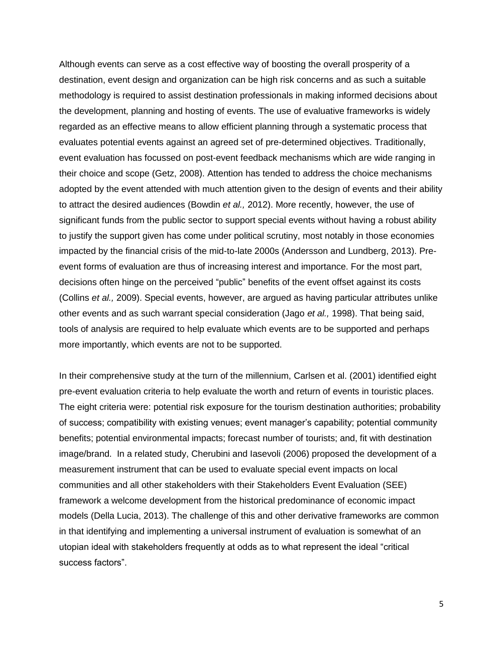Although events can serve as a cost effective way of boosting the overall prosperity of a destination, event design and organization can be high risk concerns and as such a suitable methodology is required to assist destination professionals in making informed decisions about the development, planning and hosting of events. The use of evaluative frameworks is widely regarded as an effective means to allow efficient planning through a systematic process that evaluates potential events against an agreed set of pre-determined objectives. Traditionally, event evaluation has focussed on post-event feedback mechanisms which are wide ranging in their choice and scope (Getz, 2008). Attention has tended to address the choice mechanisms adopted by the event attended with much attention given to the design of events and their ability to attract the desired audiences (Bowdin *et al.,* 2012). More recently, however, the use of significant funds from the public sector to support special events without having a robust ability to justify the support given has come under political scrutiny, most notably in those economies impacted by the financial crisis of the mid-to-late 2000s (Andersson and Lundberg, 2013). Preevent forms of evaluation are thus of increasing interest and importance. For the most part, decisions often hinge on the perceived "public" benefits of the event offset against its costs (Collins *et al.,* 2009). Special events, however, are argued as having particular attributes unlike other events and as such warrant special consideration (Jago *et al.,* 1998). That being said, tools of analysis are required to help evaluate which events are to be supported and perhaps more importantly, which events are not to be supported.

In their comprehensive study at the turn of the millennium, Carlsen et al. (2001) identified eight pre-event evaluation criteria to help evaluate the worth and return of events in touristic places. The eight criteria were: potential risk exposure for the tourism destination authorities; probability of success; compatibility with existing venues; event manager's capability; potential community benefits; potential environmental impacts; forecast number of tourists; and, fit with destination image/brand. In a related study, Cherubini and Iasevoli (2006) proposed the development of a measurement instrument that can be used to evaluate special event impacts on local communities and all other stakeholders with their Stakeholders Event Evaluation (SEE) framework a welcome development from the historical predominance of economic impact models (Della Lucia, 2013). The challenge of this and other derivative frameworks are common in that identifying and implementing a universal instrument of evaluation is somewhat of an utopian ideal with stakeholders frequently at odds as to what represent the ideal "critical success factors".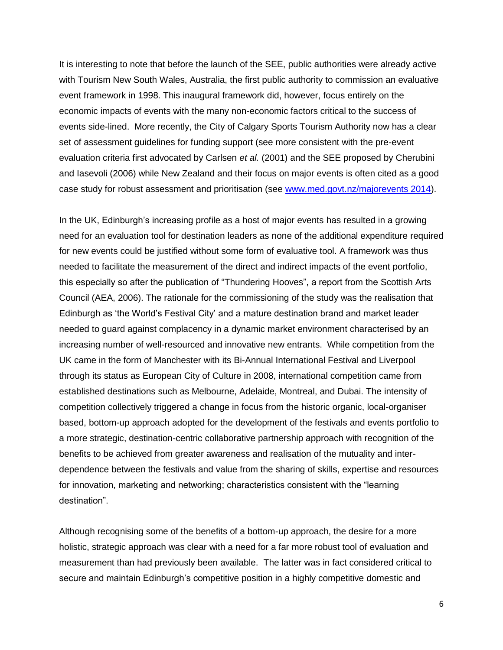It is interesting to note that before the launch of the SEE, public authorities were already active with Tourism New South Wales, Australia, the first public authority to commission an evaluative event framework in 1998. This inaugural framework did, however, focus entirely on the economic impacts of events with the many non-economic factors critical to the success of events side-lined. More recently, the City of Calgary Sports Tourism Authority now has a clear set of assessment guidelines for funding support (see more consistent with the pre-event evaluation criteria first advocated by Carlsen *et al.* (2001) and the SEE proposed by Cherubini and Iasevoli (2006) while New Zealand and their focus on major events is often cited as a good case study for robust assessment and prioritisation (see [www.med.govt.nz/majorevents 2014\)](http://www.med.govt.nz/majorevents%202014).

In the UK, Edinburgh's increasing profile as a host of major events has resulted in a growing need for an evaluation tool for destination leaders as none of the additional expenditure required for new events could be justified without some form of evaluative tool. A framework was thus needed to facilitate the measurement of the direct and indirect impacts of the event portfolio, this especially so after the publication of "Thundering Hooves", a report from the Scottish Arts Council (AEA, 2006). The rationale for the commissioning of the study was the realisation that Edinburgh as 'the World's Festival City' and a mature destination brand and market leader needed to guard against complacency in a dynamic market environment characterised by an increasing number of well-resourced and innovative new entrants. While competition from the UK came in the form of Manchester with its Bi-Annual International Festival and Liverpool through its status as European City of Culture in 2008, international competition came from established destinations such as Melbourne, Adelaide, Montreal, and Dubai. The intensity of competition collectively triggered a change in focus from the historic organic, local-organiser based, bottom-up approach adopted for the development of the festivals and events portfolio to a more strategic, destination-centric collaborative partnership approach with recognition of the benefits to be achieved from greater awareness and realisation of the mutuality and interdependence between the festivals and value from the sharing of skills, expertise and resources for innovation, marketing and networking; characteristics consistent with the "learning destination".

Although recognising some of the benefits of a bottom-up approach, the desire for a more holistic, strategic approach was clear with a need for a far more robust tool of evaluation and measurement than had previously been available. The latter was in fact considered critical to secure and maintain Edinburgh's competitive position in a highly competitive domestic and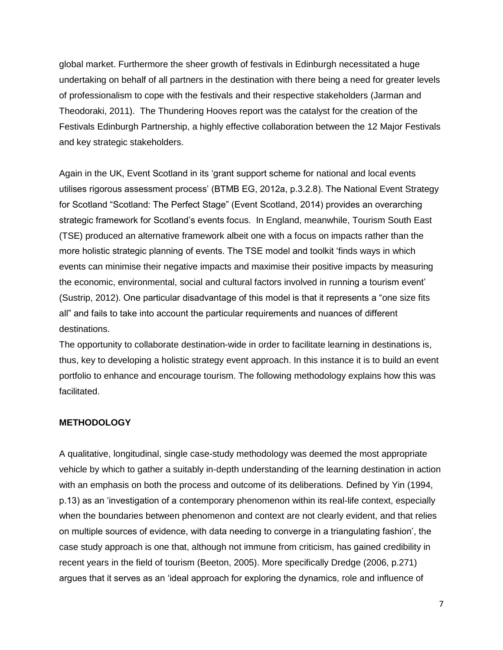global market. Furthermore the sheer growth of festivals in Edinburgh necessitated a huge undertaking on behalf of all partners in the destination with there being a need for greater levels of professionalism to cope with the festivals and their respective stakeholders (Jarman and Theodoraki, 2011). The Thundering Hooves report was the catalyst for the creation of the Festivals Edinburgh Partnership, a highly effective collaboration between the 12 Major Festivals and key strategic stakeholders.

Again in the UK, Event Scotland in its 'grant support scheme for national and local events utilises rigorous assessment process' (BTMB EG, 2012a, p.3.2.8). The National Event Strategy for Scotland "Scotland: The Perfect Stage" (Event Scotland, 2014) provides an overarching strategic framework for Scotland's events focus. In England, meanwhile, Tourism South East (TSE) produced an alternative framework albeit one with a focus on impacts rather than the more holistic strategic planning of events. The TSE model and toolkit 'finds ways in which events can minimise their negative impacts and maximise their positive impacts by measuring the economic, environmental, social and cultural factors involved in running a tourism event' (Sustrip, 2012). One particular disadvantage of this model is that it represents a "one size fits all" and fails to take into account the particular requirements and nuances of different destinations.

The opportunity to collaborate destination-wide in order to facilitate learning in destinations is, thus, key to developing a holistic strategy event approach. In this instance it is to build an event portfolio to enhance and encourage tourism. The following methodology explains how this was facilitated.

## **METHODOLOGY**

A qualitative, longitudinal, single case-study methodology was deemed the most appropriate vehicle by which to gather a suitably in-depth understanding of the learning destination in action with an emphasis on both the process and outcome of its deliberations. Defined by Yin (1994, p.13) as an 'investigation of a contemporary phenomenon within its real-life context, especially when the boundaries between phenomenon and context are not clearly evident, and that relies on multiple sources of evidence, with data needing to converge in a triangulating fashion', the case study approach is one that, although not immune from criticism, has gained credibility in recent years in the field of tourism (Beeton, 2005). More specifically Dredge (2006, p.271) argues that it serves as an 'ideal approach for exploring the dynamics, role and influence of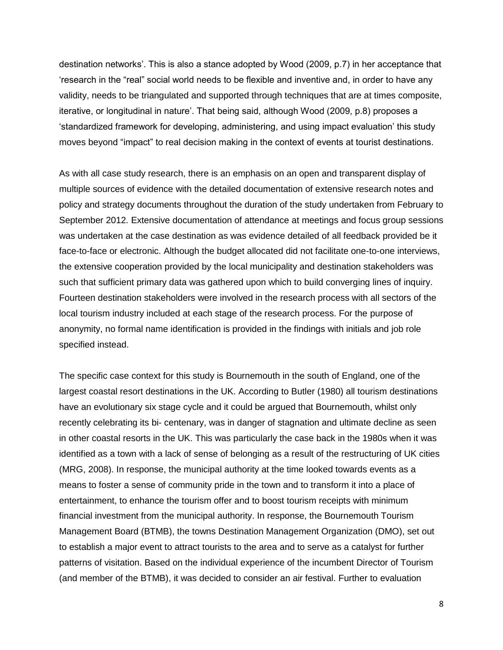destination networks'. This is also a stance adopted by Wood (2009, p.7) in her acceptance that 'research in the "real" social world needs to be flexible and inventive and, in order to have any validity, needs to be triangulated and supported through techniques that are at times composite, iterative, or longitudinal in nature'. That being said, although Wood (2009, p.8) proposes a 'standardized framework for developing, administering, and using impact evaluation' this study moves beyond "impact" to real decision making in the context of events at tourist destinations.

As with all case study research, there is an emphasis on an open and transparent display of multiple sources of evidence with the detailed documentation of extensive research notes and policy and strategy documents throughout the duration of the study undertaken from February to September 2012. Extensive documentation of attendance at meetings and focus group sessions was undertaken at the case destination as was evidence detailed of all feedback provided be it face-to-face or electronic. Although the budget allocated did not facilitate one-to-one interviews, the extensive cooperation provided by the local municipality and destination stakeholders was such that sufficient primary data was gathered upon which to build converging lines of inquiry. Fourteen destination stakeholders were involved in the research process with all sectors of the local tourism industry included at each stage of the research process. For the purpose of anonymity, no formal name identification is provided in the findings with initials and job role specified instead.

The specific case context for this study is Bournemouth in the south of England, one of the largest coastal resort destinations in the UK. According to Butler (1980) all tourism destinations have an evolutionary six stage cycle and it could be argued that Bournemouth, whilst only recently celebrating its bi- centenary, was in danger of stagnation and ultimate decline as seen in other coastal resorts in the UK. This was particularly the case back in the 1980s when it was identified as a town with a lack of sense of belonging as a result of the restructuring of UK cities (MRG, 2008). In response, the municipal authority at the time looked towards events as a means to foster a sense of community pride in the town and to transform it into a place of entertainment, to enhance the tourism offer and to boost tourism receipts with minimum financial investment from the municipal authority. In response, the Bournemouth Tourism Management Board (BTMB), the towns Destination Management Organization (DMO), set out to establish a major event to attract tourists to the area and to serve as a catalyst for further patterns of visitation. Based on the individual experience of the incumbent Director of Tourism (and member of the BTMB), it was decided to consider an air festival. Further to evaluation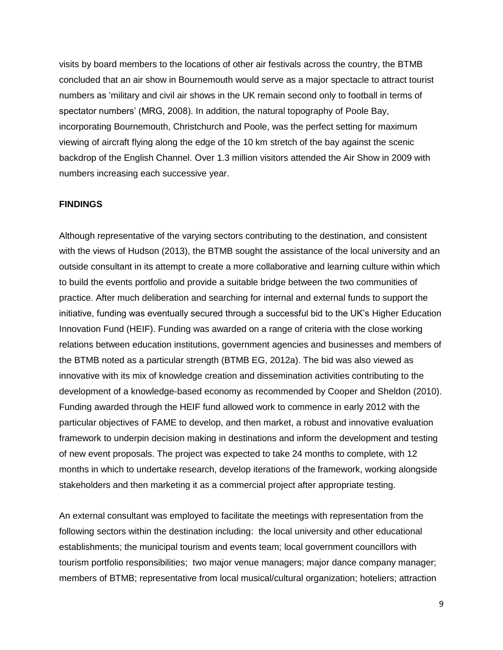visits by board members to the locations of other air festivals across the country, the BTMB concluded that an air show in Bournemouth would serve as a major spectacle to attract tourist numbers as 'military and civil air shows in the UK remain second only to football in terms of spectator numbers' (MRG, 2008). In addition, the natural topography of Poole Bay, incorporating Bournemouth, Christchurch and Poole, was the perfect setting for maximum viewing of aircraft flying along the edge of the 10 km stretch of the bay against the scenic backdrop of the English Channel. Over 1.3 million visitors attended the Air Show in 2009 with numbers increasing each successive year.

#### **FINDINGS**

Although representative of the varying sectors contributing to the destination, and consistent with the views of Hudson (2013), the BTMB sought the assistance of the local university and an outside consultant in its attempt to create a more collaborative and learning culture within which to build the events portfolio and provide a suitable bridge between the two communities of practice. After much deliberation and searching for internal and external funds to support the initiative, funding was eventually secured through a successful bid to the UK's Higher Education Innovation Fund (HEIF). Funding was awarded on a range of criteria with the close working relations between education institutions, government agencies and businesses and members of the BTMB noted as a particular strength (BTMB EG, 2012a). The bid was also viewed as innovative with its mix of knowledge creation and dissemination activities contributing to the development of a knowledge-based economy as recommended by Cooper and Sheldon (2010). Funding awarded through the HEIF fund allowed work to commence in early 2012 with the particular objectives of FAME to develop, and then market, a robust and innovative evaluation framework to underpin decision making in destinations and inform the development and testing of new event proposals. The project was expected to take 24 months to complete, with 12 months in which to undertake research, develop iterations of the framework, working alongside stakeholders and then marketing it as a commercial project after appropriate testing.

An external consultant was employed to facilitate the meetings with representation from the following sectors within the destination including: the local university and other educational establishments; the municipal tourism and events team; local government councillors with tourism portfolio responsibilities; two major venue managers; major dance company manager; members of BTMB; representative from local musical/cultural organization; hoteliers; attraction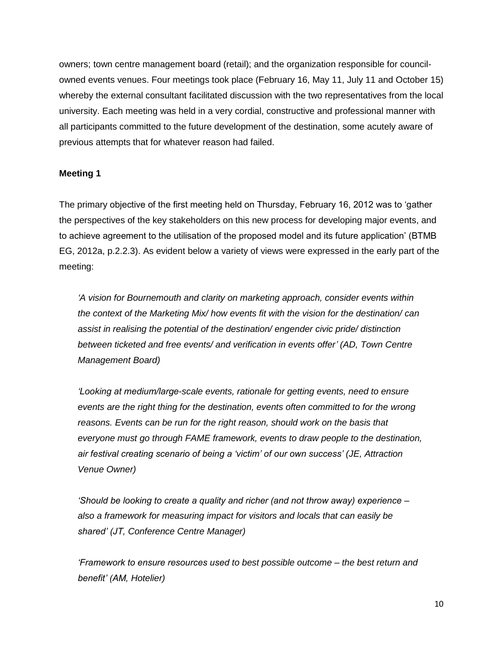owners; town centre management board (retail); and the organization responsible for councilowned events venues. Four meetings took place (February 16, May 11, July 11 and October 15) whereby the external consultant facilitated discussion with the two representatives from the local university. Each meeting was held in a very cordial, constructive and professional manner with all participants committed to the future development of the destination, some acutely aware of previous attempts that for whatever reason had failed.

# **Meeting 1**

The primary objective of the first meeting held on Thursday, February 16, 2012 was to 'gather the perspectives of the key stakeholders on this new process for developing major events, and to achieve agreement to the utilisation of the proposed model and its future application' (BTMB EG, 2012a, p.2.2.3). As evident below a variety of views were expressed in the early part of the meeting:

*'A vision for Bournemouth and clarity on marketing approach, consider events within the context of the Marketing Mix/ how events fit with the vision for the destination/ can assist in realising the potential of the destination/ engender civic pride/ distinction between ticketed and free events/ and verification in events offer' (AD, Town Centre Management Board)*

*'Looking at medium/large-scale events, rationale for getting events, need to ensure events are the right thing for the destination, events often committed to for the wrong reasons. Events can be run for the right reason, should work on the basis that everyone must go through FAME framework, events to draw people to the destination, air festival creating scenario of being a 'victim' of our own success' (JE, Attraction Venue Owner)*

*'Should be looking to create a quality and richer (and not throw away) experience – also a framework for measuring impact for visitors and locals that can easily be shared' (JT, Conference Centre Manager)*

*'Framework to ensure resources used to best possible outcome – the best return and benefit' (AM, Hotelier)*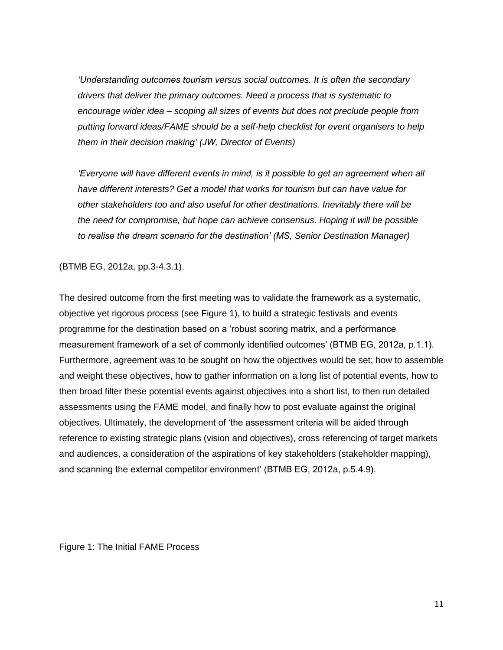*'Understanding outcomes tourism versus social outcomes. It is often the secondary drivers that deliver the primary outcomes. Need a process that is systematic to encourage wider idea – scoping all sizes of events but does not preclude people from putting forward ideas/FAME should be a self-help checklist for event organisers to help them in their decision making' (JW, Director of Events)*

*'Everyone will have different events in mind, is it possible to get an agreement when all have different interests? Get a model that works for tourism but can have value for other stakeholders too and also useful for other destinations. Inevitably there will be the need for compromise, but hope can achieve consensus. Hoping it will be possible to realise the dream scenario for the destination' (MS, Senior Destination Manager)*

(BTMB EG, 2012a, pp.3-4.3.1).

The desired outcome from the first meeting was to validate the framework as a systematic, objective yet rigorous process (see Figure 1), to build a strategic festivals and events programme for the destination based on a 'robust scoring matrix, and a performance measurement framework of a set of commonly identified outcomes' (BTMB EG, 2012a, p.1.1). Furthermore, agreement was to be sought on how the objectives would be set; how to assemble and weight these objectives, how to gather information on a long list of potential events, how to then broad filter these potential events against objectives into a short list, to then run detailed assessments using the FAME model, and finally how to post evaluate against the original objectives. Ultimately, the development of 'the assessment criteria will be aided through reference to existing strategic plans (vision and objectives), cross referencing of target markets and audiences, a consideration of the aspirations of key stakeholders (stakeholder mapping), and scanning the external competitor environment' (BTMB EG, 2012a, p.5.4.9).

Figure 1: The Initial FAME Process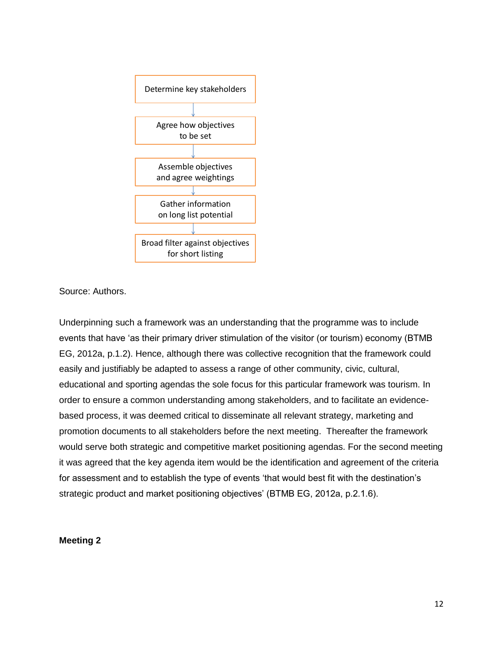

Source: Authors.

Underpinning such a framework was an understanding that the programme was to include events that have 'as their primary driver stimulation of the visitor (or tourism) economy (BTMB EG, 2012a, p.1.2). Hence, although there was collective recognition that the framework could easily and justifiably be adapted to assess a range of other community, civic, cultural, educational and sporting agendas the sole focus for this particular framework was tourism. In order to ensure a common understanding among stakeholders, and to facilitate an evidencebased process, it was deemed critical to disseminate all relevant strategy, marketing and promotion documents to all stakeholders before the next meeting. Thereafter the framework would serve both strategic and competitive market positioning agendas. For the second meeting it was agreed that the key agenda item would be the identification and agreement of the criteria for assessment and to establish the type of events 'that would best fit with the destination's strategic product and market positioning objectives' (BTMB EG, 2012a, p.2.1.6).

#### **Meeting 2**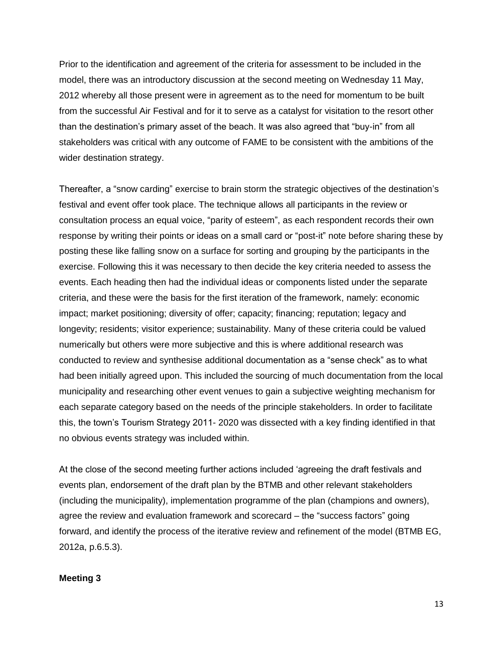Prior to the identification and agreement of the criteria for assessment to be included in the model, there was an introductory discussion at the second meeting on Wednesday 11 May, 2012 whereby all those present were in agreement as to the need for momentum to be built from the successful Air Festival and for it to serve as a catalyst for visitation to the resort other than the destination's primary asset of the beach. It was also agreed that "buy-in" from all stakeholders was critical with any outcome of FAME to be consistent with the ambitions of the wider destination strategy.

Thereafter, a "snow carding" exercise to brain storm the strategic objectives of the destination's festival and event offer took place. The technique allows all participants in the review or consultation process an equal voice, "parity of esteem", as each respondent records their own response by writing their points or ideas on a small card or "post-it" note before sharing these by posting these like falling snow on a surface for sorting and grouping by the participants in the exercise. Following this it was necessary to then decide the key criteria needed to assess the events. Each heading then had the individual ideas or components listed under the separate criteria, and these were the basis for the first iteration of the framework, namely: economic impact; market positioning; diversity of offer; capacity; financing; reputation; legacy and longevity; residents; visitor experience; sustainability. Many of these criteria could be valued numerically but others were more subjective and this is where additional research was conducted to review and synthesise additional documentation as a "sense check" as to what had been initially agreed upon. This included the sourcing of much documentation from the local municipality and researching other event venues to gain a subjective weighting mechanism for each separate category based on the needs of the principle stakeholders. In order to facilitate this, the town's Tourism Strategy 2011- 2020 was dissected with a key finding identified in that no obvious events strategy was included within.

At the close of the second meeting further actions included 'agreeing the draft festivals and events plan, endorsement of the draft plan by the BTMB and other relevant stakeholders (including the municipality), implementation programme of the plan (champions and owners), agree the review and evaluation framework and scorecard – the "success factors" going forward, and identify the process of the iterative review and refinement of the model (BTMB EG, 2012a, p.6.5.3).

#### **Meeting 3**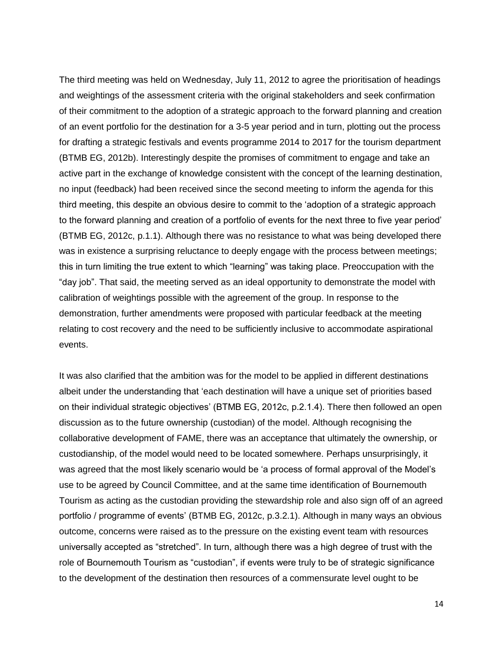The third meeting was held on Wednesday, July 11, 2012 to agree the prioritisation of headings and weightings of the assessment criteria with the original stakeholders and seek confirmation of their commitment to the adoption of a strategic approach to the forward planning and creation of an event portfolio for the destination for a 3-5 year period and in turn, plotting out the process for drafting a strategic festivals and events programme 2014 to 2017 for the tourism department (BTMB EG, 2012b). Interestingly despite the promises of commitment to engage and take an active part in the exchange of knowledge consistent with the concept of the learning destination, no input (feedback) had been received since the second meeting to inform the agenda for this third meeting, this despite an obvious desire to commit to the 'adoption of a strategic approach to the forward planning and creation of a portfolio of events for the next three to five year period' (BTMB EG, 2012c, p.1.1). Although there was no resistance to what was being developed there was in existence a surprising reluctance to deeply engage with the process between meetings; this in turn limiting the true extent to which "learning" was taking place. Preoccupation with the "day job". That said, the meeting served as an ideal opportunity to demonstrate the model with calibration of weightings possible with the agreement of the group. In response to the demonstration, further amendments were proposed with particular feedback at the meeting relating to cost recovery and the need to be sufficiently inclusive to accommodate aspirational events.

It was also clarified that the ambition was for the model to be applied in different destinations albeit under the understanding that 'each destination will have a unique set of priorities based on their individual strategic objectives' (BTMB EG, 2012c, p.2.1.4). There then followed an open discussion as to the future ownership (custodian) of the model. Although recognising the collaborative development of FAME, there was an acceptance that ultimately the ownership, or custodianship, of the model would need to be located somewhere. Perhaps unsurprisingly, it was agreed that the most likely scenario would be 'a process of formal approval of the Model's use to be agreed by Council Committee, and at the same time identification of Bournemouth Tourism as acting as the custodian providing the stewardship role and also sign off of an agreed portfolio / programme of events' (BTMB EG, 2012c, p.3.2.1). Although in many ways an obvious outcome, concerns were raised as to the pressure on the existing event team with resources universally accepted as "stretched". In turn, although there was a high degree of trust with the role of Bournemouth Tourism as "custodian", if events were truly to be of strategic significance to the development of the destination then resources of a commensurate level ought to be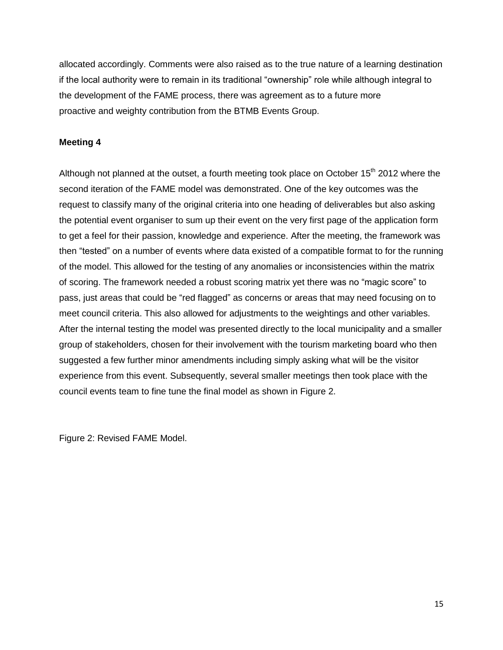allocated accordingly. Comments were also raised as to the true nature of a learning destination if the local authority were to remain in its traditional "ownership" role while although integral to the development of the FAME process, there was agreement as to a future more proactive and weighty contribution from the BTMB Events Group.

# **Meeting 4**

Although not planned at the outset, a fourth meeting took place on October 15<sup>th</sup> 2012 where the second iteration of the FAME model was demonstrated. One of the key outcomes was the request to classify many of the original criteria into one heading of deliverables but also asking the potential event organiser to sum up their event on the very first page of the application form to get a feel for their passion, knowledge and experience. After the meeting, the framework was then "tested" on a number of events where data existed of a compatible format to for the running of the model. This allowed for the testing of any anomalies or inconsistencies within the matrix of scoring. The framework needed a robust scoring matrix yet there was no "magic score" to pass, just areas that could be "red flagged" as concerns or areas that may need focusing on to meet council criteria. This also allowed for adjustments to the weightings and other variables. After the internal testing the model was presented directly to the local municipality and a smaller group of stakeholders, chosen for their involvement with the tourism marketing board who then suggested a few further minor amendments including simply asking what will be the visitor experience from this event. Subsequently, several smaller meetings then took place with the council events team to fine tune the final model as shown in Figure 2.

Figure 2: Revised FAME Model.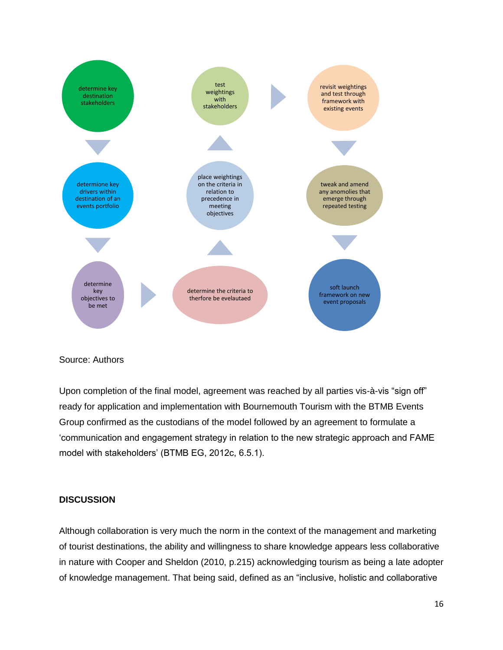

# Source: Authors

Upon completion of the final model, agreement was reached by all parties vis-à-vis "sign off" ready for application and implementation with Bournemouth Tourism with the BTMB Events Group confirmed as the custodians of the model followed by an agreement to formulate a 'communication and engagement strategy in relation to the new strategic approach and FAME model with stakeholders' (BTMB EG, 2012c, 6.5.1).

#### **DISCUSSION**

Although collaboration is very much the norm in the context of the management and marketing of tourist destinations, the ability and willingness to share knowledge appears less collaborative in nature with Cooper and Sheldon (2010, p.215) acknowledging tourism as being a late adopter of knowledge management. That being said, defined as an "inclusive, holistic and collaborative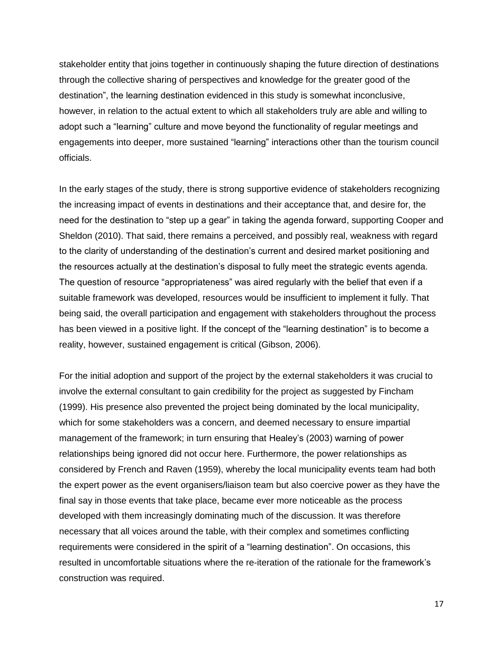stakeholder entity that joins together in continuously shaping the future direction of destinations through the collective sharing of perspectives and knowledge for the greater good of the destination", the learning destination evidenced in this study is somewhat inconclusive, however, in relation to the actual extent to which all stakeholders truly are able and willing to adopt such a "learning" culture and move beyond the functionality of regular meetings and engagements into deeper, more sustained "learning" interactions other than the tourism council officials.

In the early stages of the study, there is strong supportive evidence of stakeholders recognizing the increasing impact of events in destinations and their acceptance that, and desire for, the need for the destination to "step up a gear" in taking the agenda forward, supporting Cooper and Sheldon (2010). That said, there remains a perceived, and possibly real, weakness with regard to the clarity of understanding of the destination's current and desired market positioning and the resources actually at the destination's disposal to fully meet the strategic events agenda. The question of resource "appropriateness" was aired regularly with the belief that even if a suitable framework was developed, resources would be insufficient to implement it fully. That being said, the overall participation and engagement with stakeholders throughout the process has been viewed in a positive light. If the concept of the "learning destination" is to become a reality, however, sustained engagement is critical (Gibson, 2006).

For the initial adoption and support of the project by the external stakeholders it was crucial to involve the external consultant to gain credibility for the project as suggested by Fincham (1999). His presence also prevented the project being dominated by the local municipality, which for some stakeholders was a concern, and deemed necessary to ensure impartial management of the framework; in turn ensuring that Healey's (2003) warning of power relationships being ignored did not occur here. Furthermore, the power relationships as considered by French and Raven (1959), whereby the local municipality events team had both the expert power as the event organisers/liaison team but also coercive power as they have the final say in those events that take place, became ever more noticeable as the process developed with them increasingly dominating much of the discussion. It was therefore necessary that all voices around the table, with their complex and sometimes conflicting requirements were considered in the spirit of a "learning destination". On occasions, this resulted in uncomfortable situations where the re-iteration of the rationale for the framework's construction was required.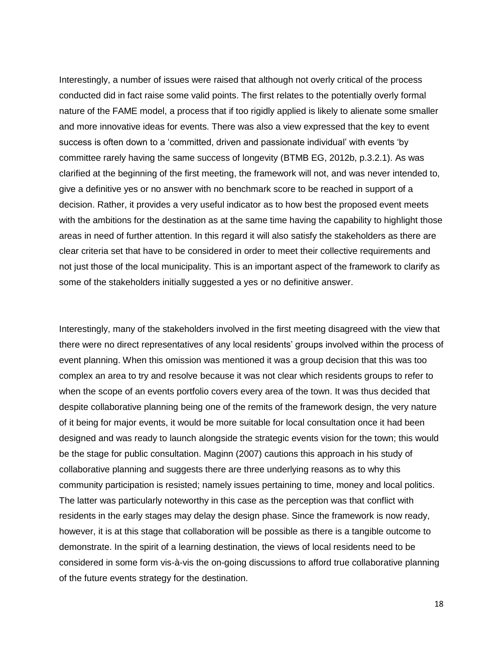Interestingly, a number of issues were raised that although not overly critical of the process conducted did in fact raise some valid points. The first relates to the potentially overly formal nature of the FAME model, a process that if too rigidly applied is likely to alienate some smaller and more innovative ideas for events. There was also a view expressed that the key to event success is often down to a 'committed, driven and passionate individual' with events 'by committee rarely having the same success of longevity (BTMB EG, 2012b, p.3.2.1). As was clarified at the beginning of the first meeting, the framework will not, and was never intended to, give a definitive yes or no answer with no benchmark score to be reached in support of a decision. Rather, it provides a very useful indicator as to how best the proposed event meets with the ambitions for the destination as at the same time having the capability to highlight those areas in need of further attention. In this regard it will also satisfy the stakeholders as there are clear criteria set that have to be considered in order to meet their collective requirements and not just those of the local municipality. This is an important aspect of the framework to clarify as some of the stakeholders initially suggested a yes or no definitive answer.

Interestingly, many of the stakeholders involved in the first meeting disagreed with the view that there were no direct representatives of any local residents' groups involved within the process of event planning. When this omission was mentioned it was a group decision that this was too complex an area to try and resolve because it was not clear which residents groups to refer to when the scope of an events portfolio covers every area of the town. It was thus decided that despite collaborative planning being one of the remits of the framework design, the very nature of it being for major events, it would be more suitable for local consultation once it had been designed and was ready to launch alongside the strategic events vision for the town; this would be the stage for public consultation. Maginn (2007) cautions this approach in his study of collaborative planning and suggests there are three underlying reasons as to why this community participation is resisted; namely issues pertaining to time, money and local politics. The latter was particularly noteworthy in this case as the perception was that conflict with residents in the early stages may delay the design phase. Since the framework is now ready, however, it is at this stage that collaboration will be possible as there is a tangible outcome to demonstrate. In the spirit of a learning destination, the views of local residents need to be considered in some form vis-à-vis the on-going discussions to afford true collaborative planning of the future events strategy for the destination.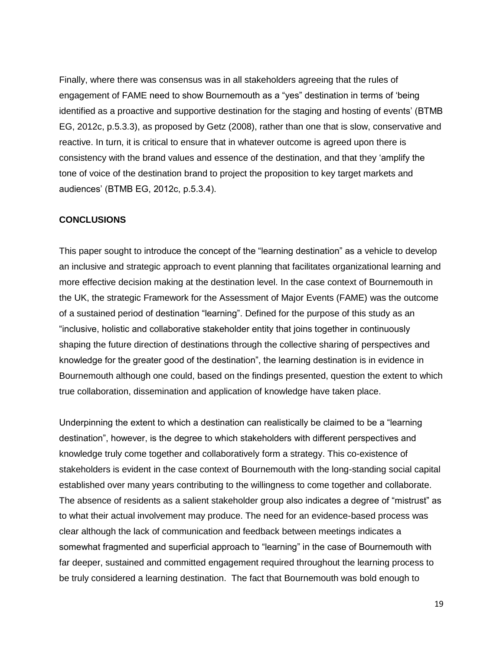Finally, where there was consensus was in all stakeholders agreeing that the rules of engagement of FAME need to show Bournemouth as a "yes" destination in terms of 'being identified as a proactive and supportive destination for the staging and hosting of events' (BTMB EG, 2012c, p.5.3.3), as proposed by Getz (2008), rather than one that is slow, conservative and reactive. In turn, it is critical to ensure that in whatever outcome is agreed upon there is consistency with the brand values and essence of the destination, and that they 'amplify the tone of voice of the destination brand to project the proposition to key target markets and audiences' (BTMB EG, 2012c, p.5.3.4).

#### **CONCLUSIONS**

This paper sought to introduce the concept of the "learning destination" as a vehicle to develop an inclusive and strategic approach to event planning that facilitates organizational learning and more effective decision making at the destination level. In the case context of Bournemouth in the UK, the strategic Framework for the Assessment of Major Events (FAME) was the outcome of a sustained period of destination "learning". Defined for the purpose of this study as an "inclusive, holistic and collaborative stakeholder entity that joins together in continuously shaping the future direction of destinations through the collective sharing of perspectives and knowledge for the greater good of the destination", the learning destination is in evidence in Bournemouth although one could, based on the findings presented, question the extent to which true collaboration, dissemination and application of knowledge have taken place.

Underpinning the extent to which a destination can realistically be claimed to be a "learning destination", however, is the degree to which stakeholders with different perspectives and knowledge truly come together and collaboratively form a strategy. This co-existence of stakeholders is evident in the case context of Bournemouth with the long-standing social capital established over many years contributing to the willingness to come together and collaborate. The absence of residents as a salient stakeholder group also indicates a degree of "mistrust" as to what their actual involvement may produce. The need for an evidence-based process was clear although the lack of communication and feedback between meetings indicates a somewhat fragmented and superficial approach to "learning" in the case of Bournemouth with far deeper, sustained and committed engagement required throughout the learning process to be truly considered a learning destination. The fact that Bournemouth was bold enough to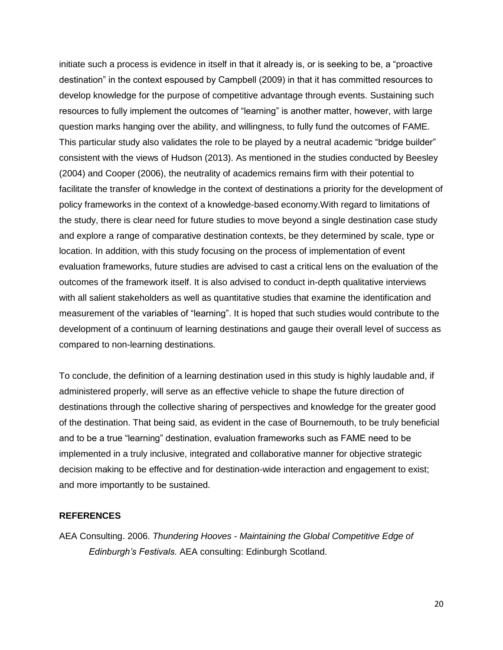initiate such a process is evidence in itself in that it already is, or is seeking to be, a "proactive destination" in the context espoused by Campbell (2009) in that it has committed resources to develop knowledge for the purpose of competitive advantage through events. Sustaining such resources to fully implement the outcomes of "learning" is another matter, however, with large question marks hanging over the ability, and willingness, to fully fund the outcomes of FAME. This particular study also validates the role to be played by a neutral academic "bridge builder" consistent with the views of Hudson (2013). As mentioned in the studies conducted by Beesley (2004) and Cooper (2006), the neutrality of academics remains firm with their potential to facilitate the transfer of knowledge in the context of destinations a priority for the development of policy frameworks in the context of a knowledge-based economy.With regard to limitations of the study, there is clear need for future studies to move beyond a single destination case study and explore a range of comparative destination contexts, be they determined by scale, type or location. In addition, with this study focusing on the process of implementation of event evaluation frameworks, future studies are advised to cast a critical lens on the evaluation of the outcomes of the framework itself. It is also advised to conduct in-depth qualitative interviews with all salient stakeholders as well as quantitative studies that examine the identification and measurement of the variables of "learning". It is hoped that such studies would contribute to the development of a continuum of learning destinations and gauge their overall level of success as compared to non-learning destinations.

To conclude, the definition of a learning destination used in this study is highly laudable and, if administered properly, will serve as an effective vehicle to shape the future direction of destinations through the collective sharing of perspectives and knowledge for the greater good of the destination. That being said, as evident in the case of Bournemouth, to be truly beneficial and to be a true "learning" destination, evaluation frameworks such as FAME need to be implemented in a truly inclusive, integrated and collaborative manner for objective strategic decision making to be effective and for destination-wide interaction and engagement to exist; and more importantly to be sustained.

#### **REFERENCES**

AEA Consulting. 2006. *Thundering Hooves - Maintaining the Global Competitive Edge of Edinburgh's Festivals.* AEA consulting: Edinburgh Scotland.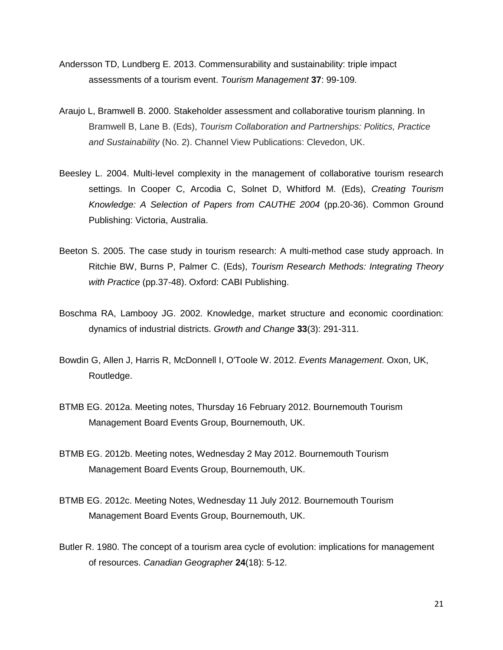- Andersson TD, Lundberg E. 2013. Commensurability and sustainability: triple impact assessments of a tourism event. *Tourism Management* **37**: 99-109.
- Araujo L, Bramwell B. 2000. Stakeholder assessment and collaborative tourism planning. In Bramwell B, Lane B. (Eds), *Tourism Collaboration and Partnerships: Politics, Practice and Sustainability* (No. 2). Channel View Publications: Clevedon, UK.
- Beesley L. 2004. Multi-level complexity in the management of collaborative tourism research settings. In Cooper C, Arcodia C, Solnet D, Whitford M. (Eds), *Creating Tourism Knowledge: A Selection of Papers from CAUTHE 2004* (pp.20-36). Common Ground Publishing: Victoria, Australia.
- Beeton S. 2005. The case study in tourism research: A multi-method case study approach. In Ritchie BW, Burns P, Palmer C. (Eds), *Tourism Research Methods: Integrating Theory with Practice* (pp.37-48). Oxford: CABI Publishing.
- Boschma RA, Lambooy JG. 2002. Knowledge, market structure and economic coordination: dynamics of industrial districts. *Growth and Change* **33**(3): 291-311.
- Bowdin G, Allen J, Harris R, McDonnell I, O'Toole W. 2012. *Events Management*. Oxon, UK, Routledge.
- BTMB EG. 2012a. Meeting notes, Thursday 16 February 2012. Bournemouth Tourism Management Board Events Group, Bournemouth, UK.
- BTMB EG. 2012b. Meeting notes, Wednesday 2 May 2012. Bournemouth Tourism Management Board Events Group, Bournemouth, UK.
- BTMB EG. 2012c. Meeting Notes, Wednesday 11 July 2012. Bournemouth Tourism Management Board Events Group, Bournemouth, UK.
- Butler R. 1980. The concept of a tourism area cycle of evolution: implications for management of resources. *Canadian Geographer* **24**(18): 5-12.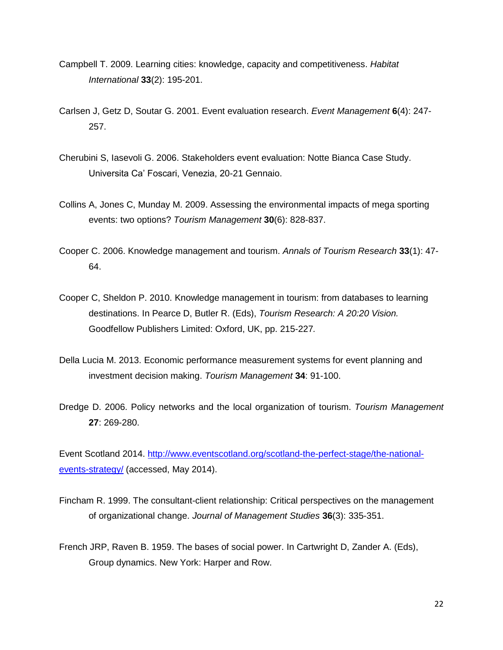- Campbell T. 2009. Learning cities: knowledge, capacity and competitiveness. *Habitat International* **33**(2): 195-201.
- Carlsen J, Getz D, Soutar G. 2001. Event evaluation research. *Event Management* **6**(4): 247- 257.
- Cherubini S, Iasevoli G. 2006. Stakeholders event evaluation: Notte Bianca Case Study. Universita Ca' Foscari, Venezia, 20-21 Gennaio.
- Collins A, Jones C, Munday M. 2009. Assessing the environmental impacts of mega sporting events: two options? *Tourism Management* **30**(6): 828-837.
- Cooper C. 2006. Knowledge management and tourism. *Annals of Tourism Research* **33**(1): 47- 64.
- Cooper C, Sheldon P. 2010. Knowledge management in tourism: from databases to learning destinations. In Pearce D, Butler R. (Eds), *Tourism Research: A 20:20 Vision.*  Goodfellow Publishers Limited: Oxford, UK, pp. 215-227*.*
- Della Lucia M. 2013. Economic performance measurement systems for event planning and investment decision making. *Tourism Management* **34**: 91-100.
- Dredge D. 2006. Policy networks and the local organization of tourism. *Tourism Management* **27**: 269-280.

Event Scotland 2014. [http://www.eventscotland.org/scotland-the-perfect-stage/the-national](http://www.eventscotland.org/scotland-the-perfect-stage/the-national-events-strategy/)[events-strategy/](http://www.eventscotland.org/scotland-the-perfect-stage/the-national-events-strategy/) (accessed, May 2014).

- Fincham R. 1999. The consultant-client relationship: Critical perspectives on the management of organizational change. *Journal of Management Studies* **36**(3): 335-351.
- French JRP, Raven B. 1959. The bases of social power. In Cartwright D, Zander A. (Eds), Group dynamics. New York: Harper and Row.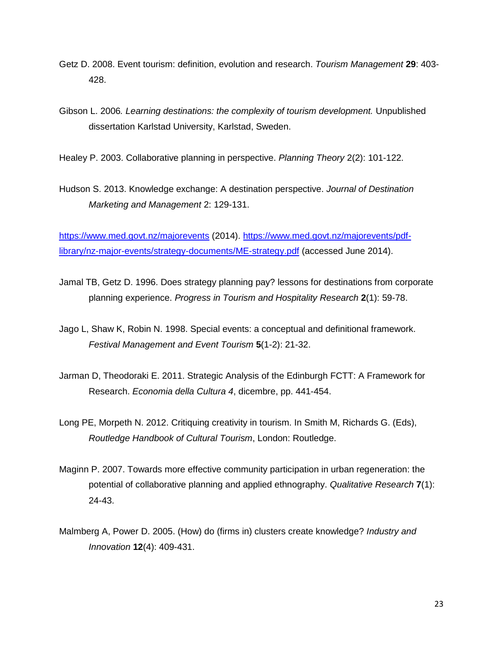- Getz D. 2008. Event tourism: definition, evolution and research. *Tourism Management* **29**: 403- 428.
- Gibson L. 2006*. Learning destinations: the complexity of tourism development.* Unpublished dissertation Karlstad University, Karlstad, Sweden.

Healey P. 2003. Collaborative planning in perspective. *Planning Theory* 2(2): 101-122.

Hudson S. 2013. Knowledge exchange: A destination perspective. *Journal of Destination Marketing and Management* 2: 129-131.

<https://www.med.govt.nz/majorevents> (2014). [https://www.med.govt.nz/majorevents/pdf](https://www.med.govt.nz/majorevents/pdf-library/nz-major-events/strategy-documents/ME-strategy.pdf)[library/nz-major-events/strategy-documents/ME-strategy.pdf](https://www.med.govt.nz/majorevents/pdf-library/nz-major-events/strategy-documents/ME-strategy.pdf) (accessed June 2014).

- Jamal TB, Getz D. 1996. Does strategy planning pay? lessons for destinations from corporate planning experience. *Progress in Tourism and Hospitality Research* **2**(1): 59-78.
- Jago L, Shaw K, Robin N. 1998. Special events: a conceptual and definitional framework. *Festival Management and Event Tourism* **5**(1-2): 21-32.
- Jarman D, Theodoraki E. 2011. Strategic Analysis of the Edinburgh FCTT: A Framework for Research. *Economia della Cultura 4*, dicembre, pp. 441-454.
- Long PE, Morpeth N. 2012. Critiquing creativity in tourism. In Smith M, Richards G. (Eds), *Routledge Handbook of Cultural Tourism*, London: Routledge.
- Maginn P. 2007. Towards more effective community participation in urban regeneration: the potential of collaborative planning and applied ethnography. *Qualitative Research* **7**(1): 24-43.
- Malmberg A, Power D. 2005. (How) do (firms in) clusters create knowledge? *Industry and Innovation* **12**(4): 409-431.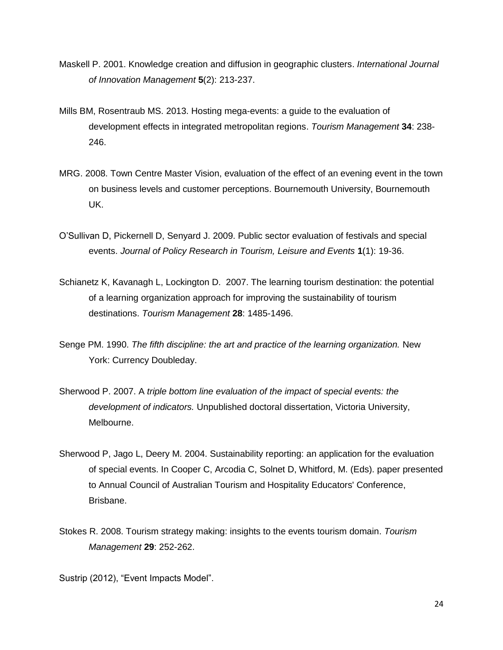- Maskell P. 2001. Knowledge creation and diffusion in geographic clusters. *International Journal of Innovation Management* **5**(2): 213-237.
- Mills BM, Rosentraub MS. 2013. Hosting mega-events: a guide to the evaluation of development effects in integrated metropolitan regions. *Tourism Management* **34**: 238- 246.
- MRG. 2008. Town Centre Master Vision, evaluation of the effect of an evening event in the town on business levels and customer perceptions. Bournemouth University, Bournemouth UK.
- O'Sullivan D, Pickernell D, Senyard J. 2009. Public sector evaluation of festivals and special events. *Journal of Policy Research in Tourism, Leisure and Events* **1**(1): 19-36.
- Schianetz K, Kavanagh L, Lockington D. 2007. The learning tourism destination: the potential of a learning organization approach for improving the sustainability of tourism destinations. *Tourism Management* **28**: 1485-1496.
- Senge PM. 1990. *The fifth discipline: the art and practice of the learning organization.* New York: Currency Doubleday.
- Sherwood P. 2007. A *triple bottom line evaluation of the impact of special events: the development of indicators.* Unpublished doctoral dissertation, Victoria University, Melbourne.
- Sherwood P, Jago L, Deery M. 2004. Sustainability reporting: an application for the evaluation of special events. In Cooper C, Arcodia C, Solnet D, Whitford, M. (Eds). paper presented to Annual Council of Australian Tourism and Hospitality Educators' Conference, Brisbane.
- Stokes R. 2008. Tourism strategy making: insights to the events tourism domain. *Tourism Management* **29**: 252-262.

Sustrip (2012), "Event Impacts Model".